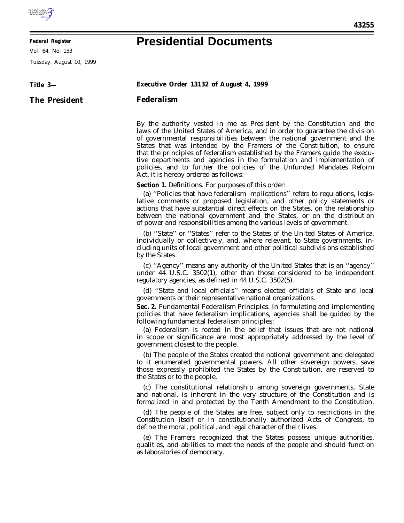

## **Federal Register**

Vol. 64, No. 153

Tuesday, August 10, 1999

# **Presidential Documents**

| Title 3—             | <b>Executive Order 13132 of August 4, 1999</b>                                                                                                                                                                                                                                                                                                                                                                                                                                                                                                                                            |
|----------------------|-------------------------------------------------------------------------------------------------------------------------------------------------------------------------------------------------------------------------------------------------------------------------------------------------------------------------------------------------------------------------------------------------------------------------------------------------------------------------------------------------------------------------------------------------------------------------------------------|
| <b>The President</b> | <b>Federalism</b>                                                                                                                                                                                                                                                                                                                                                                                                                                                                                                                                                                         |
|                      | By the authority vested in me as President by the Constitution and the<br>laws of the United States of America, and in order to guarantee the division<br>of governmental responsibilities between the national government and the<br>States that was intended by the Framers of the Constitution, to ensure<br>that the principles of federalism established by the Framers guide the execu-<br>tive departments and agencies in the formulation and implementation of<br>policies, and to further the policies of the Unfunded Mandates Reform<br>Act, it is hereby ordered as follows: |
|                      | <b>Section 1.</b> Definitions. For purposes of this order:                                                                                                                                                                                                                                                                                                                                                                                                                                                                                                                                |
|                      | (a) "Policies that have federalism implications" refers to regulations, legis-<br>lative comments or proposed legislation, and other policy statements or<br>actions that have substantial direct effects on the States, on the relationship<br>between the national government and the States, or on the distribution<br>of power and responsibilities among the various levels of government.                                                                                                                                                                                           |
|                      | (b) "State" or "States" refer to the States of the United States of America,<br>individually or collectively, and, where relevant, to State governments, in-<br>cluding units of local government and other political subdivisions established<br>by the States.                                                                                                                                                                                                                                                                                                                          |
|                      | (c) "Agency" means any authority of the United States that is an "agency"<br>under 44 U.S.C. 3502(1), other than those considered to be independent<br>regulatory agencies, as defined in 44 U.S.C. 3502(5).                                                                                                                                                                                                                                                                                                                                                                              |
|                      | (d) "State and local officials" means elected officials of State and local<br>governments or their representative national organizations.<br>Sec. 2. Fundamental Federalism Principles. In formulating and implementing<br>policies that have federalism implications, agencies shall be guided by the<br>following fundamental federalism principles:<br>(a) Federalism is rooted in the belief that issues that are not national<br>in scope or significance are most appropriately addressed by the level of<br>government closest to the people.                                      |
|                      | (b) The people of the States created the national government and delegated<br>to it enumerated governmental powers. All other sovereign powers, save<br>those expressly prohibited the States by the Constitution, are reserved to<br>the States or to the people.                                                                                                                                                                                                                                                                                                                        |
|                      | (c) The constitutional relationship among sovereign governments, State<br>and national, is inherent in the very structure of the Constitution and is<br>formalized in and protected by the Tenth Amendment to the Constitution.                                                                                                                                                                                                                                                                                                                                                           |
|                      | (d) The people of the States are free, subject only to restrictions in the<br>Constitution itself or in constitutionally authorized Acts of Congress, to<br>define the moral, political, and legal character of their lives.                                                                                                                                                                                                                                                                                                                                                              |
|                      | (e) The Framers recognized that the States possess unique authorities,<br>qualities, and abilities to meet the needs of the people and should function<br>as laboratories of democracy.                                                                                                                                                                                                                                                                                                                                                                                                   |
|                      |                                                                                                                                                                                                                                                                                                                                                                                                                                                                                                                                                                                           |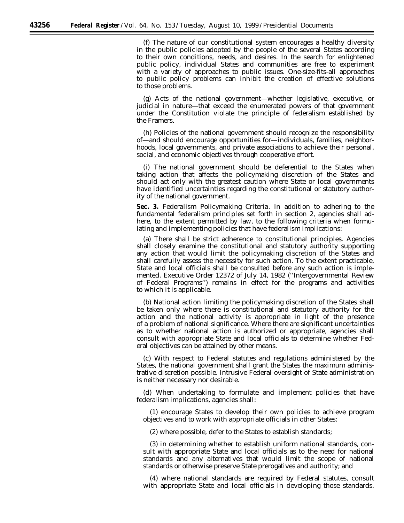(f) The nature of our constitutional system encourages a healthy diversity in the public policies adopted by the people of the several States according to their own conditions, needs, and desires. In the search for enlightened public policy, individual States and communities are free to experiment with a variety of approaches to public issues. One-size-fits-all approaches to public policy problems can inhibit the creation of effective solutions to those problems.

(g) Acts of the national government—whether legislative, executive, or judicial in nature—that exceed the enumerated powers of that government under the Constitution violate the principle of federalism established by the Framers.

(h) Policies of the national government should recognize the responsibility of—and should encourage opportunities for—individuals, families, neighborhoods, local governments, and private associations to achieve their personal, social, and economic objectives through cooperative effort.

(i) The national government should be deferential to the States when taking action that affects the policymaking discretion of the States and should act only with the greatest caution where State or local governments have identified uncertainties regarding the constitutional or statutory authority of the national government.

**Sec. 3.** *Federalism Policymaking Criteria.* In addition to adhering to the fundamental federalism principles set forth in section 2, agencies shall adhere, to the extent permitted by law, to the following criteria when formulating and implementing policies that have federalism implications:

(a) There shall be strict adherence to constitutional principles. Agencies shall closely examine the constitutional and statutory authority supporting any action that would limit the policymaking discretion of the States and shall carefully assess the necessity for such action. To the extent practicable, State and local officials shall be consulted before any such action is implemented. Executive Order 12372 of July 14, 1982 (''Intergovernmental Review of Federal Programs'') remains in effect for the programs and activities to which it is applicable.

(b) National action limiting the policymaking discretion of the States shall be taken only where there is constitutional and statutory authority for the action and the national activity is appropriate in light of the presence of a problem of national significance. Where there are significant uncertainties as to whether national action is authorized or appropriate, agencies shall consult with appropriate State and local officials to determine whether Federal objectives can be attained by other means.

(c) With respect to Federal statutes and regulations administered by the States, the national government shall grant the States the maximum administrative discretion possible. Intrusive Federal oversight of State administration is neither necessary nor desirable.

(d) When undertaking to formulate and implement policies that have federalism implications, agencies shall:

(1) encourage States to develop their own policies to achieve program objectives and to work with appropriate officials in other States;

(2) where possible, defer to the States to establish standards;

(3) in determining whether to establish uniform national standards, consult with appropriate State and local officials as to the need for national standards and any alternatives that would limit the scope of national standards or otherwise preserve State prerogatives and authority; and

(4) where national standards are required by Federal statutes, consult with appropriate State and local officials in developing those standards.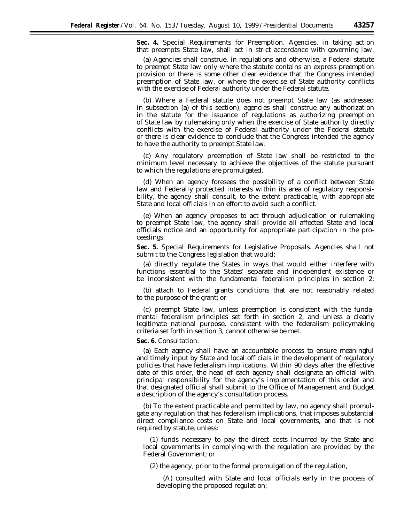**Sec. 4.** *Special Requirements for Preemption.* Agencies, in taking action that preempts State law, shall act in strict accordance with governing law.

(a) Agencies shall construe, in regulations and otherwise, a Federal statute to preempt State law only where the statute contains an express preemption provision or there is some other clear evidence that the Congress intended preemption of State law, or where the exercise of State authority conflicts with the exercise of Federal authority under the Federal statute.

(b) Where a Federal statute does not preempt State law (as addressed in subsection (a) of this section), agencies shall construe any authorization in the statute for the issuance of regulations as authorizing preemption of State law by rulemaking only when the exercise of State authority directly conflicts with the exercise of Federal authority under the Federal statute or there is clear evidence to conclude that the Congress intended the agency to have the authority to preempt State law.

(c) Any regulatory preemption of State law shall be restricted to the minimum level necessary to achieve the objectives of the statute pursuant to which the regulations are promulgated.

(d) When an agency foresees the possibility of a conflict between State law and Federally protected interests within its area of regulatory responsibility, the agency shall consult, to the extent practicable, with appropriate State and local officials in an effort to avoid such a conflict.

(e) When an agency proposes to act through adjudication or rulemaking to preempt State law, the agency shall provide all affected State and local officials notice and an opportunity for appropriate participation in the proceedings.

**Sec. 5.** *Special Requirements for Legislative Proposals.* Agencies shall not submit to the Congress legislation that would:

(a) directly regulate the States in ways that would either interfere with functions essential to the States' separate and independent existence or be inconsistent with the fundamental federalism principles in section 2;

(b) attach to Federal grants conditions that are not reasonably related to the purpose of the grant; or

(c) preempt State law, unless preemption is consistent with the fundamental federalism principles set forth in section 2, and unless a clearly legitimate national purpose, consistent with the federalism policymaking criteria set forth in section 3, cannot otherwise be met.

#### **Sec. 6.** *Consultation.*

(a) Each agency shall have an accountable process to ensure meaningful and timely input by State and local officials in the development of regulatory policies that have federalism implications. Within 90 days after the effective date of this order, the head of each agency shall designate an official with principal responsibility for the agency's implementation of this order and that designated official shall submit to the Office of Management and Budget a description of the agency's consultation process.

(b) To the extent practicable and permitted by law, no agency shall promulgate any regulation that has federalism implications, that imposes substantial direct compliance costs on State and local governments, and that is not required by statute, unless:

(1) funds necessary to pay the direct costs incurred by the State and local governments in complying with the regulation are provided by the Federal Government; or

(2) the agency, prior to the formal promulgation of the regulation,

(A) consulted with State and local officials early in the process of developing the proposed regulation;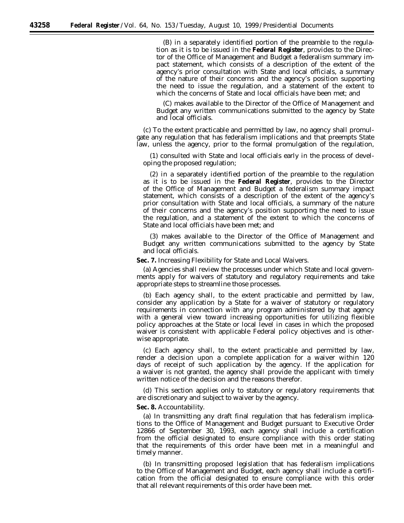(B) in a separately identified portion of the preamble to the regulation as it is to be issued in the **Federal Register**, provides to the Director of the Office of Management and Budget a federalism summary impact statement, which consists of a description of the extent of the agency's prior consultation with State and local officials, a summary of the nature of their concerns and the agency's position supporting the need to issue the regulation, and a statement of the extent to which the concerns of State and local officials have been met; and

(C) makes available to the Director of the Office of Management and Budget any written communications submitted to the agency by State and local officials.

(c) To the extent practicable and permitted by law, no agency shall promulgate any regulation that has federalism implications and that preempts State law, unless the agency, prior to the formal promulgation of the regulation,

(1) consulted with State and local officials early in the process of developing the proposed regulation;

(2) in a separately identified portion of the preamble to the regulation as it is to be issued in the **Federal Register**, provides to the Director of the Office of Management and Budget a federalism summary impact statement, which consists of a description of the extent of the agency's prior consultation with State and local officials, a summary of the nature of their concerns and the agency's position supporting the need to issue the regulation, and a statement of the extent to which the concerns of State and local officials have been met; and

(3) makes available to the Director of the Office of Management and Budget any written communications submitted to the agency by State and local officials.

### **Sec. 7.** *Increasing Flexibility for State and Local Waivers.*

(a) Agencies shall review the processes under which State and local governments apply for waivers of statutory and regulatory requirements and take appropriate steps to streamline those processes.

(b) Each agency shall, to the extent practicable and permitted by law, consider any application by a State for a waiver of statutory or regulatory requirements in connection with any program administered by that agency with a general view toward increasing opportunities for utilizing flexible policy approaches at the State or local level in cases in which the proposed waiver is consistent with applicable Federal policy objectives and is otherwise appropriate.

(c) Each agency shall, to the extent practicable and permitted by law, render a decision upon a complete application for a waiver within 120 days of receipt of such application by the agency. If the application for a waiver is not granted, the agency shall provide the applicant with timely written notice of the decision and the reasons therefor.

(d) This section applies only to statutory or regulatory requirements that are discretionary and subject to waiver by the agency.

#### **Sec. 8.** *Accountability.*

(a) In transmitting any draft final regulation that has federalism implications to the Office of Management and Budget pursuant to Executive Order 12866 of September 30, 1993, each agency shall include a certification from the official designated to ensure compliance with this order stating that the requirements of this order have been met in a meaningful and timely manner.

(b) In transmitting proposed legislation that has federalism implications to the Office of Management and Budget, each agency shall include a certification from the official designated to ensure compliance with this order that all relevant requirements of this order have been met.